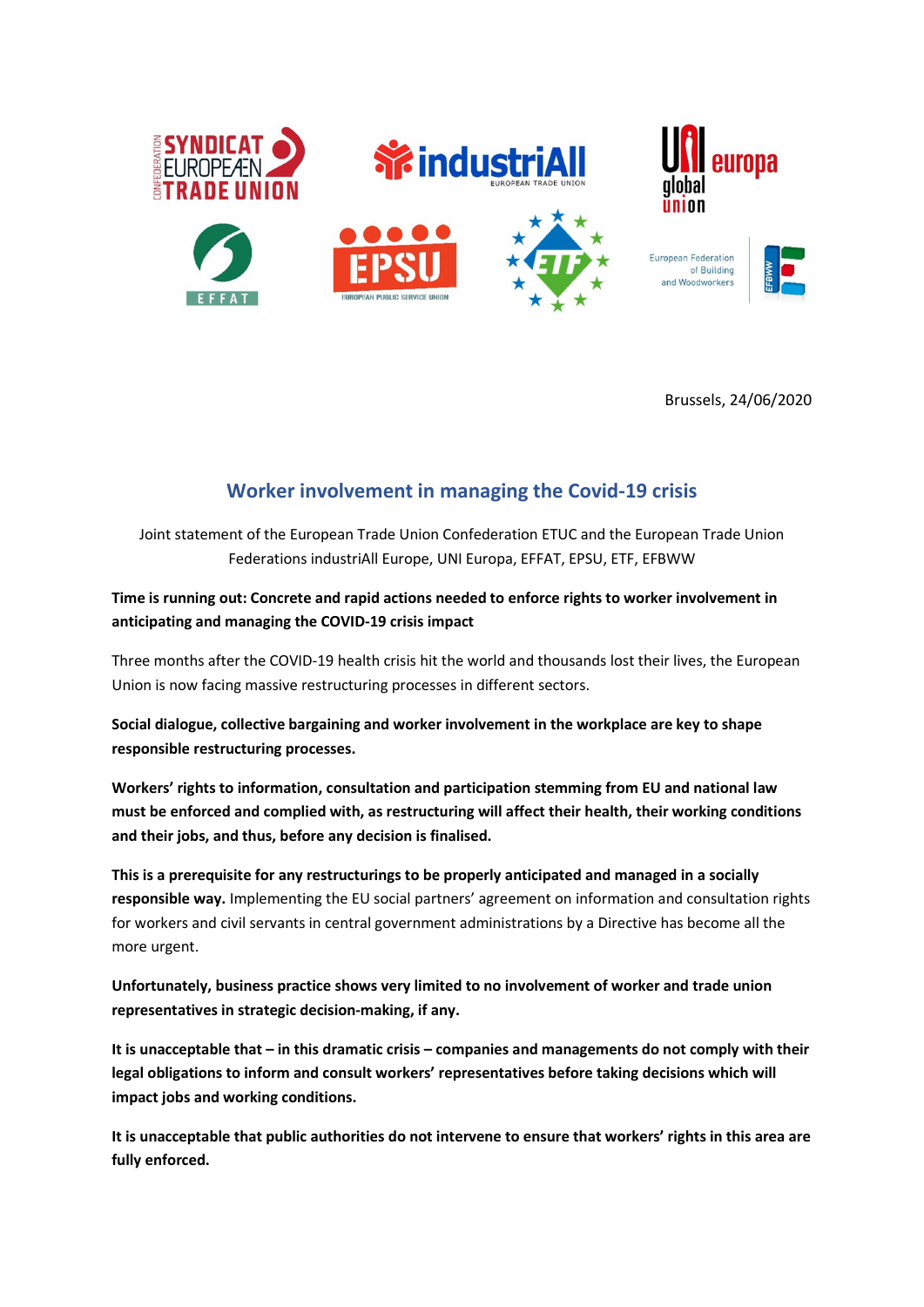

Brussels, 24/06/2020

## Worker involvement in managing the Covid-19 crisis

Joint statement of the European Trade Union Confederation ETUC and the European Trade Union Federations industriAll Europe, UNI Europa, EFFAT, EPSU, ETF, EFBWW

Time is running out: Concrete and rapid actions needed to enforce rights to worker involvement in anticipating and managing the COVID-19 crisis impact

Three months after the COVID-19 health crisis hit the world and thousands lost their lives, the European Union is now facing massive restructuring processes in different sectors.

Social dialogue, collective bargaining and worker involvement in the workplace are key to shape responsible restructuring processes.

Workers' rights to information, consultation and participation stemming from EU and national law must be enforced and complied with, as restructuring will affect their health, their working conditions and their jobs, and thus, before any decision is finalised.

This is a prerequisite for any restructurings to be properly anticipated and managed in a socially responsible way. Implementing the EU social partners' agreement on information and consultation rights for workers and civil servants in central government administrations by a Directive has become all the more urgent.

Unfortunately, business practice shows very limited to no involvement of worker and trade union representatives in strategic decision-making, if any.

It is unacceptable that – in this dramatic crisis – companies and managements do not comply with their legal obligations to inform and consult workers' representatives before taking decisions which will impact jobs and working conditions.

It is unacceptable that public authorities do not intervene to ensure that workers' rights in this area are fully enforced.